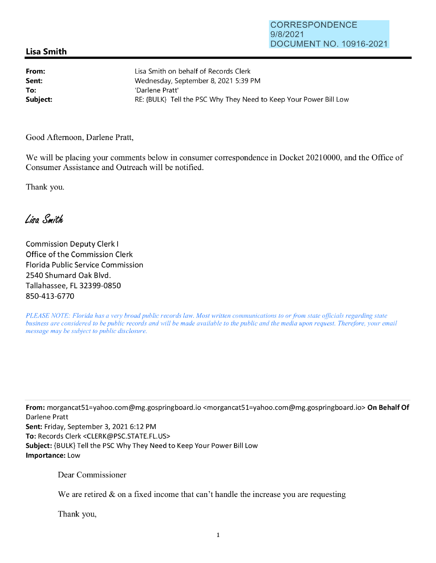## **Lisa Smith**

| From:    | Lisa Smith on behalf of Records Clerk                             |
|----------|-------------------------------------------------------------------|
| Sent:    | Wednesday, September 8, 2021 5:39 PM                              |
| To:      | 'Darlene Pratt'                                                   |
| Subject: | RE: {BULK} Tell the PSC Why They Need to Keep Your Power Bill Low |

Good Afternoon, Darlene Pratt,

We will be placing your comments below in consumer correspondence in Docket 20210000, and the Office of Consumer Assistance and Outreach will be notified.

Thank you.

Lisa Smith

Commission Deputy Clerk I Office of the Commission Clerk Florida Public Service Commission 2540 Shumard Oak Blvd. Tallahassee, FL 32399-0850 850-413-6770

*PLEASE NOTE: Florida has a very broad public records law. Most written communications to or from state officials regarding state business are considered to be public records and will be made available to the public and the media upon request. Therefore, your email message may be subject to public disclosure.* 

**From:** morgancat51=yahoo.com@mg.gospringboard.io <morgancat51=yahoo.com@mg.gospringboard.io> **On Behalf Of**  Darlene Pratt **Sent:** Friday, September 3, 2021 6:12 PM **To:** Records Clerk <CLERK@PSC.STATE.FL.US> **Subject:** {BULK} Tell the PSC Why They Need to Keep Your Power Bill Low **Importance:** Low

Dear Commissioner

We are retired  $\&$  on a fixed income that can't handle the increase you are requesting

Thank you,